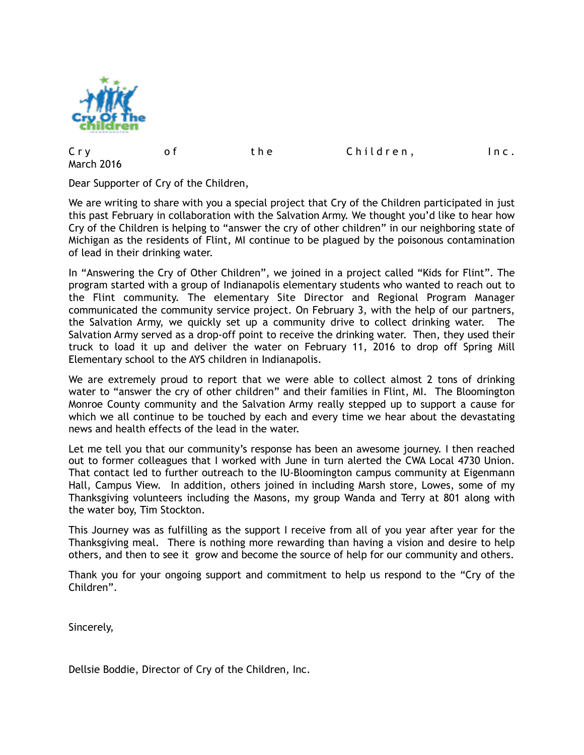

| Cry               |  | the | Children, | Inc. |
|-------------------|--|-----|-----------|------|
| <b>March 2016</b> |  |     |           |      |

Dear Supporter of Cry of the Children,

We are writing to share with you a special project that Cry of the Children participated in just this past February in collaboration with the Salvation Army. We thought you'd like to hear how Cry of the Children is helping to "answer the cry of other children" in our neighboring state of Michigan as the residents of Flint, MI continue to be plagued by the poisonous contamination of lead in their drinking water.

In "Answering the Cry of Other Children", we joined in a project called "Kids for Flint". The program started with a group of Indianapolis elementary students who wanted to reach out to the Flint community. The elementary Site Director and Regional Program Manager communicated the community service project. On February 3, with the help of our partners, the Salvation Army, we quickly set up a community drive to collect drinking water. The Salvation Army served as a drop-off point to receive the drinking water. Then, they used their truck to load it up and deliver the water on February 11, 2016 to drop off Spring Mill Elementary school to the AYS children in Indianapolis.

We are extremely proud to report that we were able to collect almost 2 tons of drinking water to "answer the cry of other children" and their families in Flint, MI. The Bloomington Monroe County community and the Salvation Army really stepped up to support a cause for which we all continue to be touched by each and every time we hear about the devastating news and health effects of the lead in the water.

Let me tell you that our community's response has been an awesome journey. I then reached out to former colleagues that I worked with June in turn alerted the CWA Local 4730 Union. That contact led to further outreach to the IU-Bloomington campus community at Eigenmann Hall, Campus View. In addition, others joined in including Marsh store, Lowes, some of my Thanksgiving volunteers including the Masons, my group Wanda and Terry at 801 along with the water boy, Tim Stockton.

This Journey was as fulfilling as the support I receive from all of you year after year for the Thanksgiving meal. There is nothing more rewarding than having a vision and desire to help others, and then to see it grow and become the source of help for our community and others.

Thank you for your ongoing support and commitment to help us respond to the "Cry of the Children".

Sincerely,

Dellsie Boddie, Director of Cry of the Children, Inc.